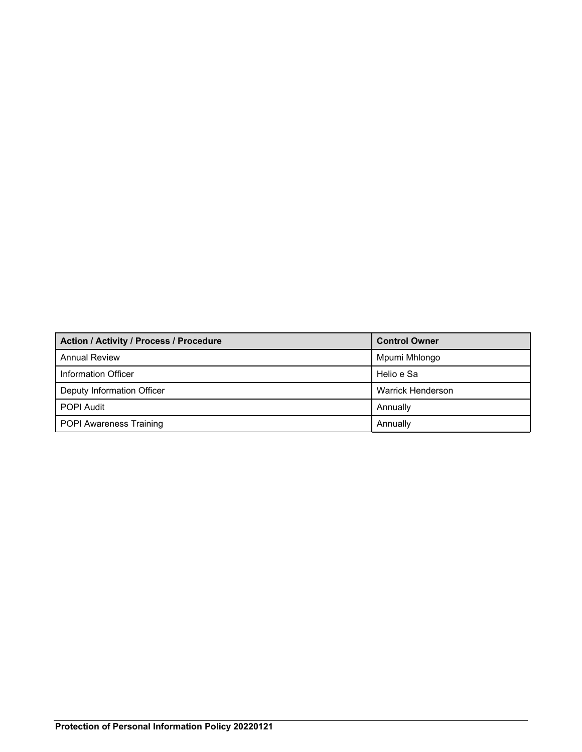| Action / Activity / Process / Procedure | <b>Control Owner</b>     |
|-----------------------------------------|--------------------------|
| <b>Annual Review</b>                    | Mpumi Mhlongo            |
| Information Officer                     | Helio e Sa               |
| Deputy Information Officer              | <b>Warrick Henderson</b> |
| <b>POPI Audit</b>                       | Annually                 |
| <b>POPI Awareness Training</b>          | Annually                 |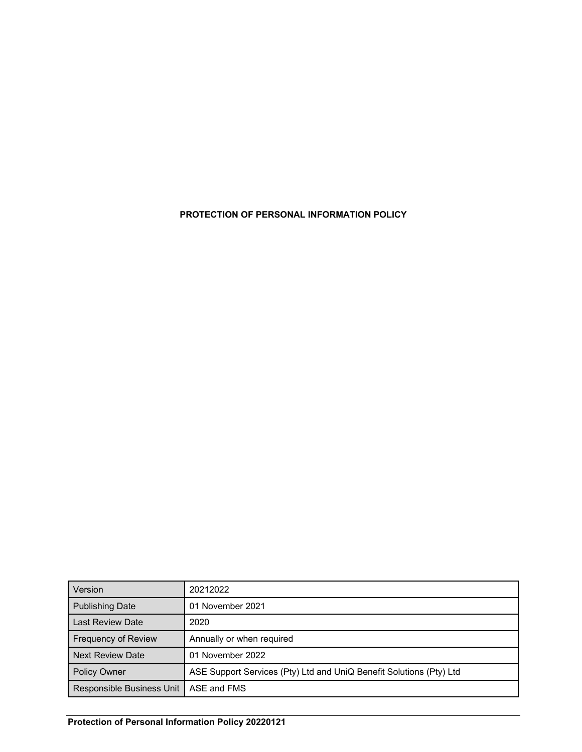**PROTECTION OF PERSONAL INFORMATION POLICY** 

| Version                                 | 20212022                                                            |
|-----------------------------------------|---------------------------------------------------------------------|
| <b>Publishing Date</b>                  | 01 November 2021                                                    |
| Last Review Date                        | 2020                                                                |
| <b>Frequency of Review</b>              | Annually or when required                                           |
| <b>Next Review Date</b>                 | 01 November 2022                                                    |
| <b>Policy Owner</b>                     | ASE Support Services (Pty) Ltd and UniQ Benefit Solutions (Pty) Ltd |
| Responsible Business Unit   ASE and FMS |                                                                     |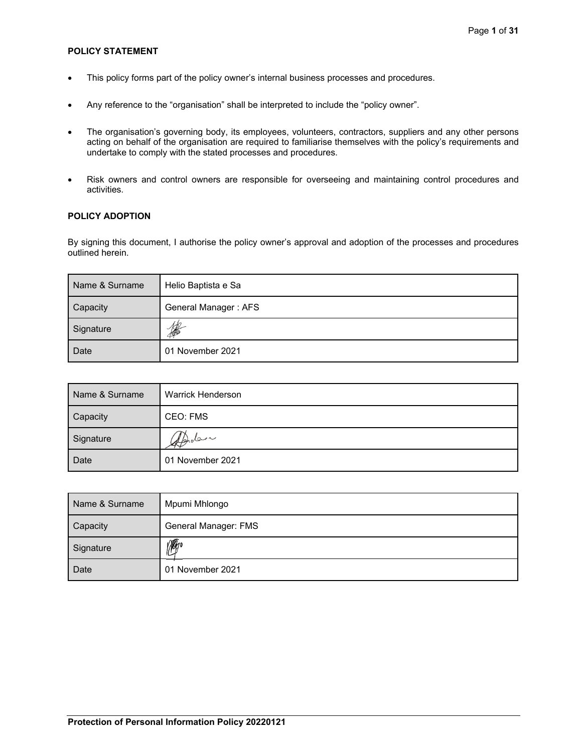## **POLICY STATEMENT**

- This policy forms part of the policy owner's internal business processes and procedures.
- Any reference to the "organisation" shall be interpreted to include the "policy owner".
- The organisation's governing body, its employees, volunteers, contractors, suppliers and any other persons acting on behalf of the organisation are required to familiarise themselves with the policy's requirements and undertake to comply with the stated processes and procedures.
- Risk owners and control owners are responsible for overseeing and maintaining control procedures and activities.

## **POLICY ADOPTION**

By signing this document, I authorise the policy owner's approval and adoption of the processes and procedures outlined herein.

| Name & Surname | Helio Baptista e Sa  |
|----------------|----------------------|
| Capacity       | General Manager: AFS |
| Signature      | 10                   |
| Date           | 01 November 2021     |

| Name & Surname | Warrick Henderson |
|----------------|-------------------|
| Capacity       | CEO: FMS          |
| Signature      | delpholon         |
| l Date         | 01 November 2021  |

| Name & Surname | Mpumi Mhlongo        |
|----------------|----------------------|
| Capacity       | General Manager: FMS |
| Signature      | <b>M</b>             |
| Date           | 01 November 2021     |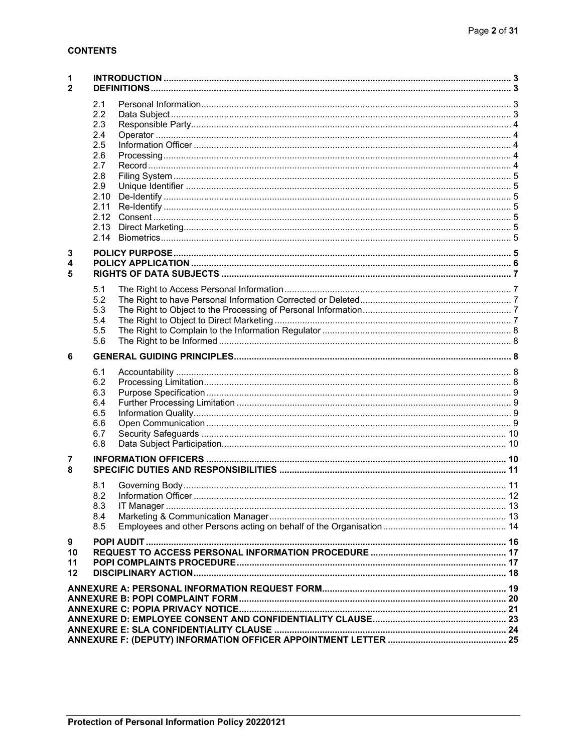# **CONTENTS**

| 1<br>$\mathbf{2}$   |                                                                             |  |  |
|---------------------|-----------------------------------------------------------------------------|--|--|
|                     | 2.1<br>2.2<br>2.3<br>2.4<br>2.5<br>2.6<br>2.7<br>2.8<br>2.9<br>2.10<br>2.11 |  |  |
| 3<br>4<br>5         |                                                                             |  |  |
|                     | 5.1<br>5.2<br>5.3<br>5.4<br>5.5<br>5.6                                      |  |  |
| 6                   |                                                                             |  |  |
|                     | 6.1<br>6.2<br>6.3<br>6.4<br>6.5<br>6.6<br>6.7<br>6.8                        |  |  |
| 7<br>8              |                                                                             |  |  |
|                     | 8.1<br>8.2<br>8.3<br>8.4<br>8.5                                             |  |  |
| 9<br>10<br>11<br>12 |                                                                             |  |  |
|                     |                                                                             |  |  |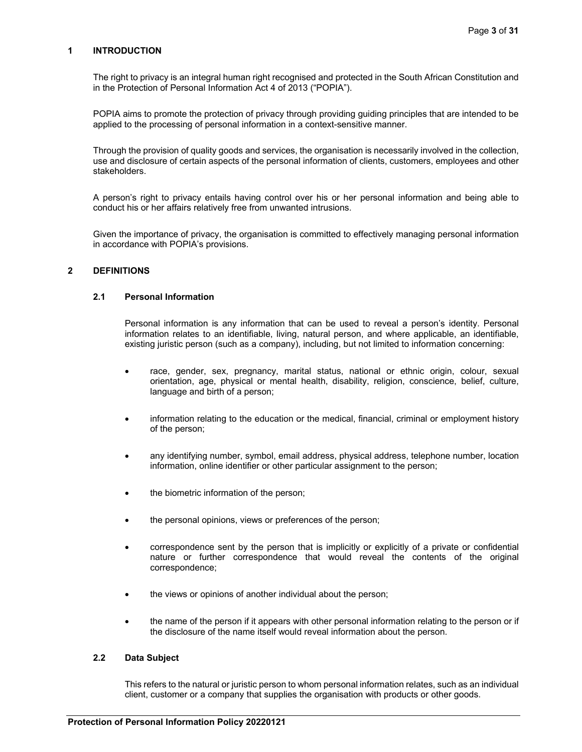## **1 INTRODUCTION**

The right to privacy is an integral human right recognised and protected in the South African Constitution and in the Protection of Personal Information Act 4 of 2013 ("POPIA").

POPIA aims to promote the protection of privacy through providing guiding principles that are intended to be applied to the processing of personal information in a context-sensitive manner.

Through the provision of quality goods and services, the organisation is necessarily involved in the collection, use and disclosure of certain aspects of the personal information of clients, customers, employees and other stakeholders.

A person's right to privacy entails having control over his or her personal information and being able to conduct his or her affairs relatively free from unwanted intrusions.

Given the importance of privacy, the organisation is committed to effectively managing personal information in accordance with POPIA's provisions.

### **2 DEFINITIONS**

# **2.1 Personal Information**

Personal information is any information that can be used to reveal a person's identity. Personal information relates to an identifiable, living, natural person, and where applicable, an identifiable, existing juristic person (such as a company), including, but not limited to information concerning:

- race, gender, sex, pregnancy, marital status, national or ethnic origin, colour, sexual orientation, age, physical or mental health, disability, religion, conscience, belief, culture, language and birth of a person;
- information relating to the education or the medical, financial, criminal or employment history of the person;
- any identifying number, symbol, email address, physical address, telephone number, location information, online identifier or other particular assignment to the person;
- the biometric information of the person;
- the personal opinions, views or preferences of the person;
- correspondence sent by the person that is implicitly or explicitly of a private or confidential nature or further correspondence that would reveal the contents of the original correspondence;
- the views or opinions of another individual about the person;
- the name of the person if it appears with other personal information relating to the person or if the disclosure of the name itself would reveal information about the person.

### **2.2 Data Subject**

This refers to the natural or juristic person to whom personal information relates, such as an individual client, customer or a company that supplies the organisation with products or other goods.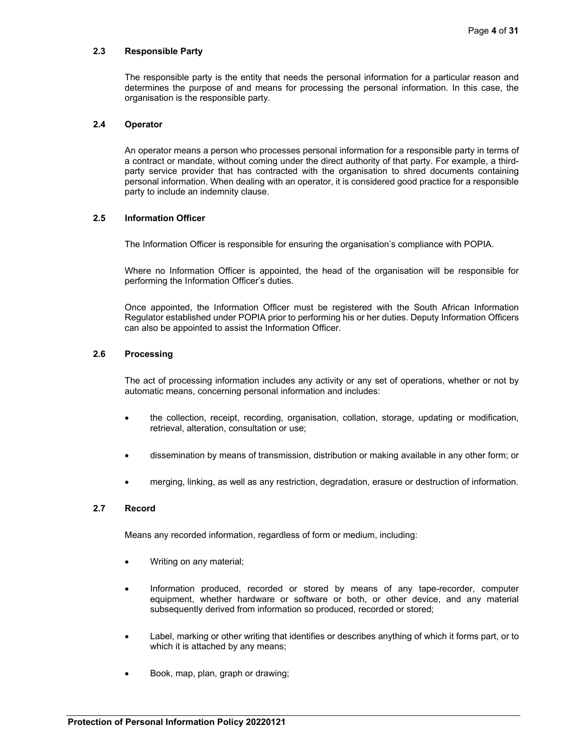### **2.3 Responsible Party**

The responsible party is the entity that needs the personal information for a particular reason and determines the purpose of and means for processing the personal information. In this case, the organisation is the responsible party.

## **2.4 Operator**

An operator means a person who processes personal information for a responsible party in terms of a contract or mandate, without coming under the direct authority of that party. For example, a thirdparty service provider that has contracted with the organisation to shred documents containing personal information. When dealing with an operator, it is considered good practice for a responsible party to include an indemnity clause.

## **2.5 Information Officer**

The Information Officer is responsible for ensuring the organisation's compliance with POPIA.

Where no Information Officer is appointed, the head of the organisation will be responsible for performing the Information Officer's duties.

Once appointed, the Information Officer must be registered with the South African Information Regulator established under POPIA prior to performing his or her duties. Deputy Information Officers can also be appointed to assist the Information Officer.

## **2.6 Processing**

The act of processing information includes any activity or any set of operations, whether or not by automatic means, concerning personal information and includes:

- the collection, receipt, recording, organisation, collation, storage, updating or modification, retrieval, alteration, consultation or use;
- dissemination by means of transmission, distribution or making available in any other form; or
- merging, linking, as well as any restriction, degradation, erasure or destruction of information.

## **2.7 Record**

Means any recorded information, regardless of form or medium, including:

- Writing on any material;
- Information produced, recorded or stored by means of any tape-recorder, computer equipment, whether hardware or software or both, or other device, and any material subsequently derived from information so produced, recorded or stored;
- Label, marking or other writing that identifies or describes anything of which it forms part, or to which it is attached by any means;
- Book, map, plan, graph or drawing;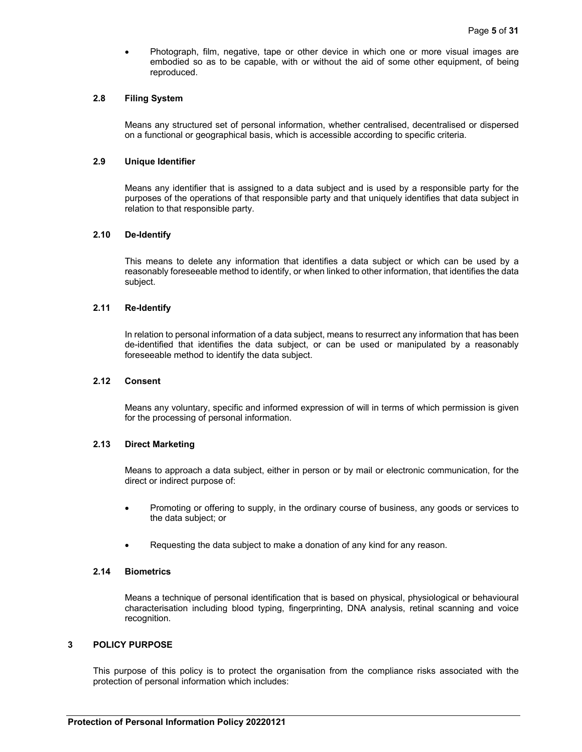Photograph, film, negative, tape or other device in which one or more visual images are embodied so as to be capable, with or without the aid of some other equipment, of being reproduced.

## **2.8 Filing System**

Means any structured set of personal information, whether centralised, decentralised or dispersed on a functional or geographical basis, which is accessible according to specific criteria.

#### **2.9 Unique Identifier**

Means any identifier that is assigned to a data subject and is used by a responsible party for the purposes of the operations of that responsible party and that uniquely identifies that data subject in relation to that responsible party.

### **2.10 De-Identify**

This means to delete any information that identifies a data subject or which can be used by a reasonably foreseeable method to identify, or when linked to other information, that identifies the data subject.

#### **2.11 Re-Identify**

In relation to personal information of a data subject, means to resurrect any information that has been de-identified that identifies the data subject, or can be used or manipulated by a reasonably foreseeable method to identify the data subject.

## **2.12 Consent**

Means any voluntary, specific and informed expression of will in terms of which permission is given for the processing of personal information.

## **2.13 Direct Marketing**

Means to approach a data subject, either in person or by mail or electronic communication, for the direct or indirect purpose of:

- Promoting or offering to supply, in the ordinary course of business, any goods or services to the data subject; or
- Requesting the data subject to make a donation of any kind for any reason.

#### **2.14 Biometrics**

Means a technique of personal identification that is based on physical, physiological or behavioural characterisation including blood typing, fingerprinting, DNA analysis, retinal scanning and voice recognition.

### **3 POLICY PURPOSE**

This purpose of this policy is to protect the organisation from the compliance risks associated with the protection of personal information which includes: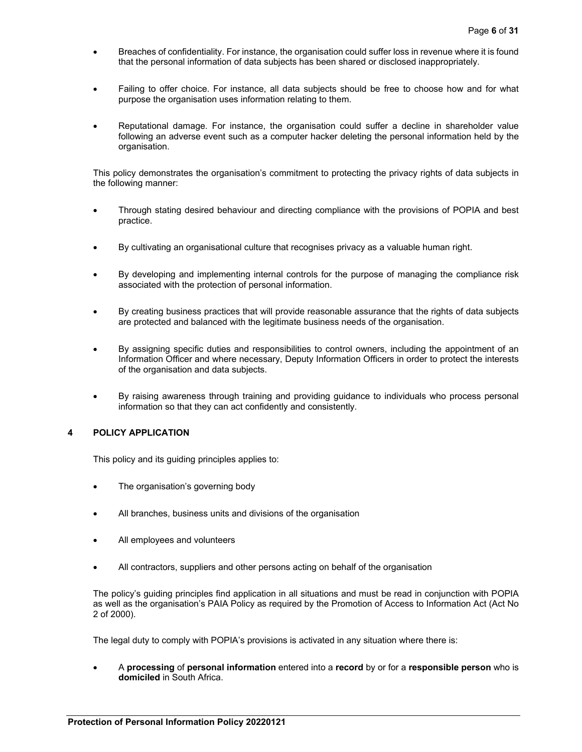- Breaches of confidentiality. For instance, the organisation could suffer loss in revenue where it is found that the personal information of data subjects has been shared or disclosed inappropriately.
- Failing to offer choice. For instance, all data subjects should be free to choose how and for what purpose the organisation uses information relating to them.
- Reputational damage. For instance, the organisation could suffer a decline in shareholder value following an adverse event such as a computer hacker deleting the personal information held by the organisation.

This policy demonstrates the organisation's commitment to protecting the privacy rights of data subjects in the following manner:

- Through stating desired behaviour and directing compliance with the provisions of POPIA and best practice.
- By cultivating an organisational culture that recognises privacy as a valuable human right.
- By developing and implementing internal controls for the purpose of managing the compliance risk associated with the protection of personal information.
- By creating business practices that will provide reasonable assurance that the rights of data subjects are protected and balanced with the legitimate business needs of the organisation.
- By assigning specific duties and responsibilities to control owners, including the appointment of an Information Officer and where necessary, Deputy Information Officers in order to protect the interests of the organisation and data subjects.
- By raising awareness through training and providing guidance to individuals who process personal information so that they can act confidently and consistently.

## **4 POLICY APPLICATION**

This policy and its guiding principles applies to:

- The organisation's governing body
- All branches, business units and divisions of the organisation
- All employees and volunteers
- All contractors, suppliers and other persons acting on behalf of the organisation

The policy's guiding principles find application in all situations and must be read in conjunction with POPIA as well as the organisation's PAIA Policy as required by the Promotion of Access to Information Act (Act No 2 of 2000).

The legal duty to comply with POPIA's provisions is activated in any situation where there is:

 A **processing** of **personal information** entered into a **record** by or for a **responsible person** who is **domiciled** in South Africa.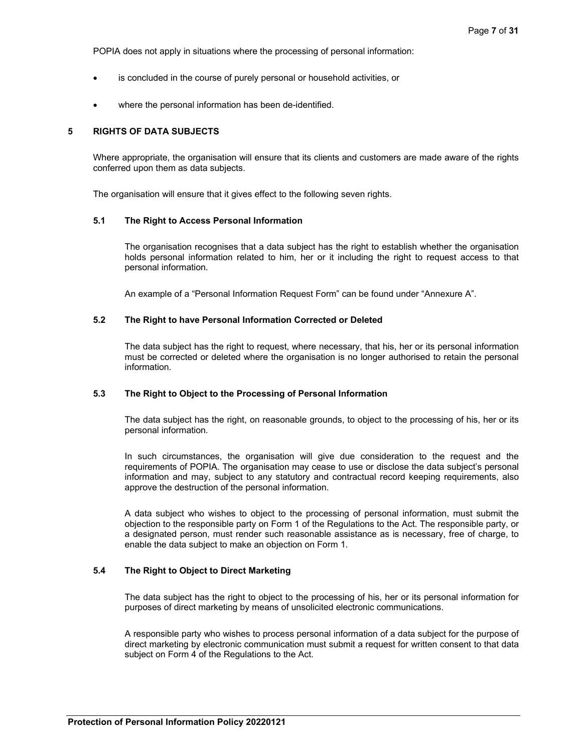POPIA does not apply in situations where the processing of personal information:

- is concluded in the course of purely personal or household activities, or
- where the personal information has been de-identified.

## **5 RIGHTS OF DATA SUBJECTS**

Where appropriate, the organisation will ensure that its clients and customers are made aware of the rights conferred upon them as data subjects.

The organisation will ensure that it gives effect to the following seven rights.

### **5.1 The Right to Access Personal Information**

The organisation recognises that a data subject has the right to establish whether the organisation holds personal information related to him, her or it including the right to request access to that personal information.

An example of a "Personal Information Request Form" can be found under "Annexure A".

## **5.2 The Right to have Personal Information Corrected or Deleted**

The data subject has the right to request, where necessary, that his, her or its personal information must be corrected or deleted where the organisation is no longer authorised to retain the personal information.

### **5.3 The Right to Object to the Processing of Personal Information**

The data subject has the right, on reasonable grounds, to object to the processing of his, her or its personal information.

In such circumstances, the organisation will give due consideration to the request and the requirements of POPIA. The organisation may cease to use or disclose the data subject's personal information and may, subject to any statutory and contractual record keeping requirements, also approve the destruction of the personal information.

A data subject who wishes to object to the processing of personal information, must submit the objection to the responsible party on Form 1 of the Regulations to the Act. The responsible party, or a designated person, must render such reasonable assistance as is necessary, free of charge, to enable the data subject to make an objection on Form 1.

## **5.4 The Right to Object to Direct Marketing**

The data subject has the right to object to the processing of his, her or its personal information for purposes of direct marketing by means of unsolicited electronic communications.

A responsible party who wishes to process personal information of a data subject for the purpose of direct marketing by electronic communication must submit a request for written consent to that data subject on Form 4 of the Regulations to the Act.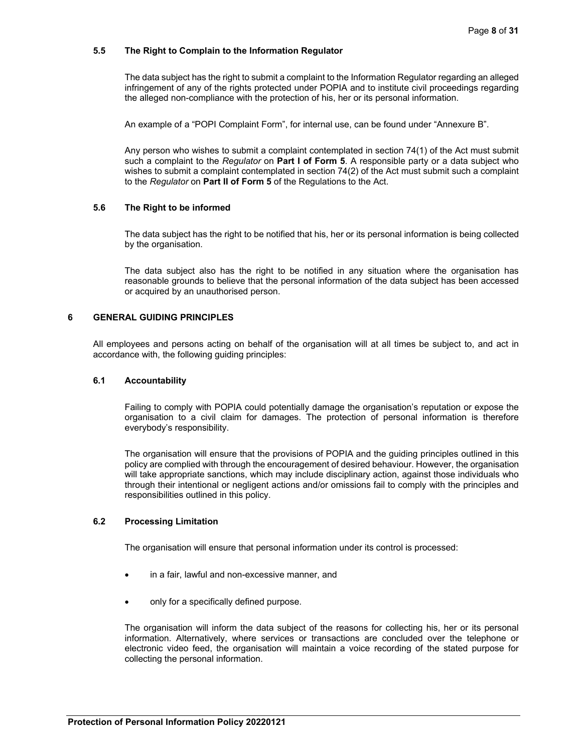## **5.5 The Right to Complain to the Information Regulator**

The data subject has the right to submit a complaint to the Information Regulator regarding an alleged infringement of any of the rights protected under POPIA and to institute civil proceedings regarding the alleged non-compliance with the protection of his, her or its personal information.

An example of a "POPI Complaint Form", for internal use, can be found under "Annexure B".

Any person who wishes to submit a complaint contemplated in section 74(1) of the Act must submit such a complaint to the *Regulator* on **Part I of Form 5**. A responsible party or a data subject who wishes to submit a complaint contemplated in section 74(2) of the Act must submit such a complaint to the *Regulator* on **Part II of Form 5** of the Regulations to the Act.

## **5.6 The Right to be informed**

The data subject has the right to be notified that his, her or its personal information is being collected by the organisation.

The data subject also has the right to be notified in any situation where the organisation has reasonable grounds to believe that the personal information of the data subject has been accessed or acquired by an unauthorised person.

## **6 GENERAL GUIDING PRINCIPLES**

All employees and persons acting on behalf of the organisation will at all times be subject to, and act in accordance with, the following guiding principles:

### **6.1 Accountability**

Failing to comply with POPIA could potentially damage the organisation's reputation or expose the organisation to a civil claim for damages. The protection of personal information is therefore everybody's responsibility.

The organisation will ensure that the provisions of POPIA and the guiding principles outlined in this policy are complied with through the encouragement of desired behaviour. However, the organisation will take appropriate sanctions, which may include disciplinary action, against those individuals who through their intentional or negligent actions and/or omissions fail to comply with the principles and responsibilities outlined in this policy.

## **6.2 Processing Limitation**

The organisation will ensure that personal information under its control is processed:

- in a fair, lawful and non-excessive manner, and
- only for a specifically defined purpose.

The organisation will inform the data subject of the reasons for collecting his, her or its personal information. Alternatively, where services or transactions are concluded over the telephone or electronic video feed, the organisation will maintain a voice recording of the stated purpose for collecting the personal information.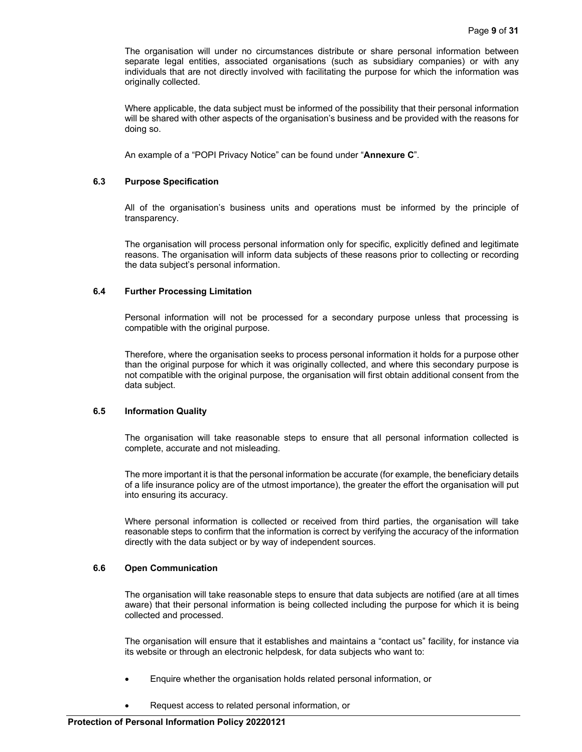The organisation will under no circumstances distribute or share personal information between separate legal entities, associated organisations (such as subsidiary companies) or with any individuals that are not directly involved with facilitating the purpose for which the information was originally collected.

Where applicable, the data subject must be informed of the possibility that their personal information will be shared with other aspects of the organisation's business and be provided with the reasons for doing so.

An example of a "POPI Privacy Notice" can be found under "**Annexure C**".

## **6.3 Purpose Specification**

All of the organisation's business units and operations must be informed by the principle of transparency.

The organisation will process personal information only for specific, explicitly defined and legitimate reasons. The organisation will inform data subjects of these reasons prior to collecting or recording the data subject's personal information.

## **6.4 Further Processing Limitation**

Personal information will not be processed for a secondary purpose unless that processing is compatible with the original purpose.

Therefore, where the organisation seeks to process personal information it holds for a purpose other than the original purpose for which it was originally collected, and where this secondary purpose is not compatible with the original purpose, the organisation will first obtain additional consent from the data subject.

### **6.5 Information Quality**

The organisation will take reasonable steps to ensure that all personal information collected is complete, accurate and not misleading.

The more important it is that the personal information be accurate (for example, the beneficiary details of a life insurance policy are of the utmost importance), the greater the effort the organisation will put into ensuring its accuracy.

Where personal information is collected or received from third parties, the organisation will take reasonable steps to confirm that the information is correct by verifying the accuracy of the information directly with the data subject or by way of independent sources.

### **6.6 Open Communication**

The organisation will take reasonable steps to ensure that data subjects are notified (are at all times aware) that their personal information is being collected including the purpose for which it is being collected and processed.

The organisation will ensure that it establishes and maintains a "contact us" facility, for instance via its website or through an electronic helpdesk, for data subjects who want to:

- Enquire whether the organisation holds related personal information, or
- Request access to related personal information, or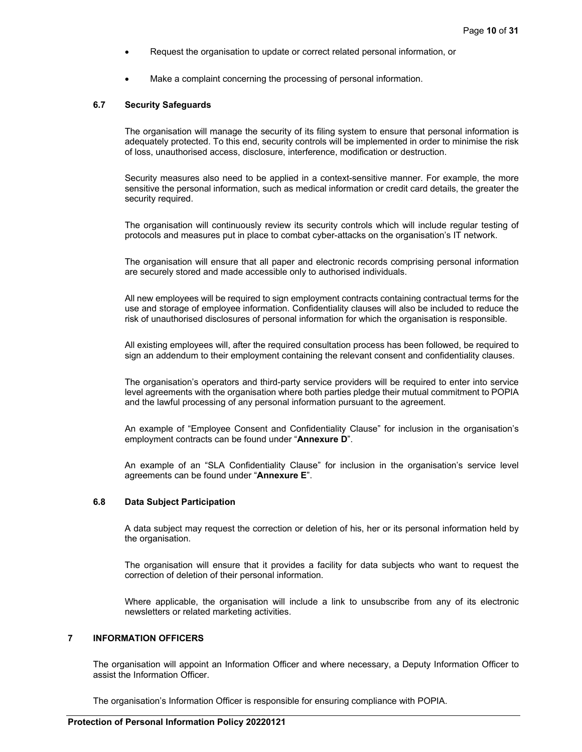- Request the organisation to update or correct related personal information, or
- Make a complaint concerning the processing of personal information.

#### **6.7 Security Safeguards**

The organisation will manage the security of its filing system to ensure that personal information is adequately protected. To this end, security controls will be implemented in order to minimise the risk of loss, unauthorised access, disclosure, interference, modification or destruction.

Security measures also need to be applied in a context-sensitive manner. For example, the more sensitive the personal information, such as medical information or credit card details, the greater the security required.

The organisation will continuously review its security controls which will include regular testing of protocols and measures put in place to combat cyber-attacks on the organisation's IT network.

The organisation will ensure that all paper and electronic records comprising personal information are securely stored and made accessible only to authorised individuals.

All new employees will be required to sign employment contracts containing contractual terms for the use and storage of employee information. Confidentiality clauses will also be included to reduce the risk of unauthorised disclosures of personal information for which the organisation is responsible.

All existing employees will, after the required consultation process has been followed, be required to sign an addendum to their employment containing the relevant consent and confidentiality clauses.

The organisation's operators and third-party service providers will be required to enter into service level agreements with the organisation where both parties pledge their mutual commitment to POPIA and the lawful processing of any personal information pursuant to the agreement.

An example of "Employee Consent and Confidentiality Clause" for inclusion in the organisation's employment contracts can be found under "**Annexure D**".

An example of an "SLA Confidentiality Clause" for inclusion in the organisation's service level agreements can be found under "**Annexure E**".

## **6.8 Data Subject Participation**

A data subject may request the correction or deletion of his, her or its personal information held by the organisation.

The organisation will ensure that it provides a facility for data subjects who want to request the correction of deletion of their personal information.

Where applicable, the organisation will include a link to unsubscribe from any of its electronic newsletters or related marketing activities.

# **7 INFORMATION OFFICERS**

The organisation will appoint an Information Officer and where necessary, a Deputy Information Officer to assist the Information Officer.

The organisation's Information Officer is responsible for ensuring compliance with POPIA.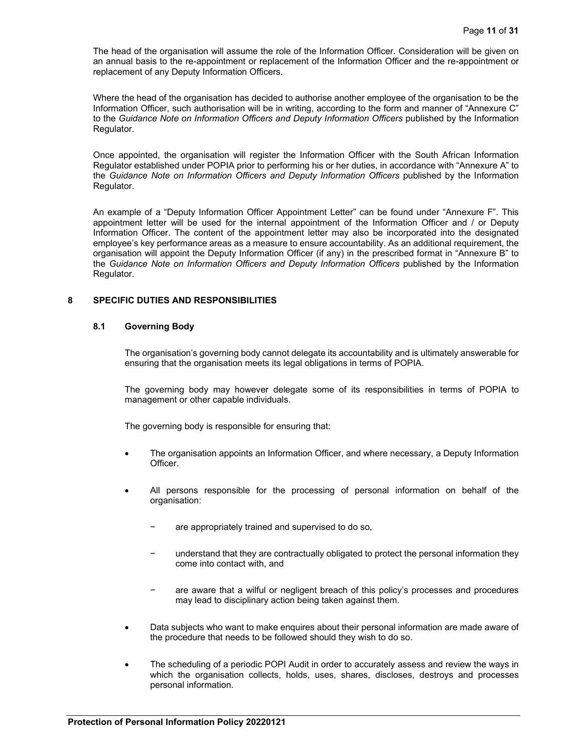The head of the organisation will assume the role of the Information Officer. Consideration will be given on an annual basis to the re-appointment or replacement of the Information Officer and the re-appointment or replacement of any Deputy Information Officers.

Where the head of the organisation has decided to authorise another employee of the organisation to be the Information Officer, such authorisation will be in writing, according to the form and manner of "Annexure C" to the *Guidance Note on Information Officers and Deputy Information Officers* published by the Information Regulator.

Once appointed, the organisation will register the Information Officer with the South African Information Regulator established under POPIA prior to performing his or her duties, in accordance with "Annexure A" to the *Guidance Note on Information Officers and Deputy Information Officers* published by the Information Regulator.

An example of a "Deputy Information Officer Appointment Letter" can be found under "Annexure F". This appointment letter will be used for the internal appointment of the Information Officer and / or Deputy Information Officer. The content of the appointment letter may also be incorporated into the designated employee's key performance areas as a measure to ensure accountability. As an additional requirement, the organisation will appoint the Deputy Information Officer (if any) in the prescribed format in "Annexure B" to the *Guidance Note on Information Officers and Deputy Information Officers* published by the Information Regulator.

## **8 SPECIFIC DUTIES AND RESPONSIBILITIES**

## **8.1 Governing Body**

The organisation's governing body cannot delegate its accountability and is ultimately answerable for ensuring that the organisation meets its legal obligations in terms of POPIA.

The governing body may however delegate some of its responsibilities in terms of POPIA to management or other capable individuals.

The governing body is responsible for ensuring that:

- The organisation appoints an Information Officer, and where necessary, a Deputy Information Officer.
- All persons responsible for the processing of personal information on behalf of the organisation:
	- are appropriately trained and supervised to do so,
	- understand that they are contractually obligated to protect the personal information they come into contact with, and
	- are aware that a wilful or negligent breach of this policy's processes and procedures may lead to disciplinary action being taken against them.
- Data subjects who want to make enquires about their personal information are made aware of the procedure that needs to be followed should they wish to do so.
- The scheduling of a periodic POPI Audit in order to accurately assess and review the ways in which the organisation collects, holds, uses, shares, discloses, destroys and processes personal information.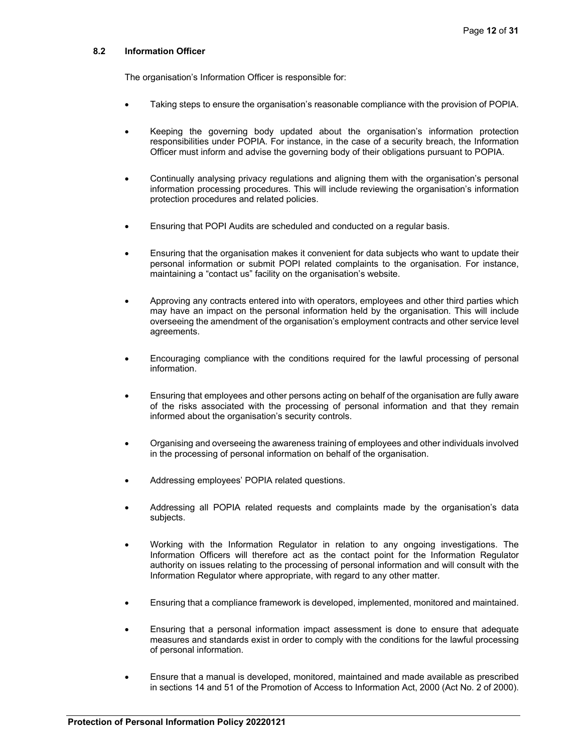## **8.2 Information Officer**

The organisation's Information Officer is responsible for:

- Taking steps to ensure the organisation's reasonable compliance with the provision of POPIA.
- Keeping the governing body updated about the organisation's information protection responsibilities under POPIA. For instance, in the case of a security breach, the Information Officer must inform and advise the governing body of their obligations pursuant to POPIA.
- Continually analysing privacy regulations and aligning them with the organisation's personal information processing procedures. This will include reviewing the organisation's information protection procedures and related policies.
- Ensuring that POPI Audits are scheduled and conducted on a regular basis.
- Ensuring that the organisation makes it convenient for data subjects who want to update their personal information or submit POPI related complaints to the organisation. For instance, maintaining a "contact us" facility on the organisation's website.
- Approving any contracts entered into with operators, employees and other third parties which may have an impact on the personal information held by the organisation. This will include overseeing the amendment of the organisation's employment contracts and other service level agreements.
- Encouraging compliance with the conditions required for the lawful processing of personal information.
- Ensuring that employees and other persons acting on behalf of the organisation are fully aware of the risks associated with the processing of personal information and that they remain informed about the organisation's security controls.
- Organising and overseeing the awareness training of employees and other individuals involved in the processing of personal information on behalf of the organisation.
- Addressing employees' POPIA related questions.
- Addressing all POPIA related requests and complaints made by the organisation's data subjects.
- Working with the Information Regulator in relation to any ongoing investigations. The Information Officers will therefore act as the contact point for the Information Regulator authority on issues relating to the processing of personal information and will consult with the Information Regulator where appropriate, with regard to any other matter.
- Ensuring that a compliance framework is developed, implemented, monitored and maintained.
- Ensuring that a personal information impact assessment is done to ensure that adequate measures and standards exist in order to comply with the conditions for the lawful processing of personal information.
- Ensure that a manual is developed, monitored, maintained and made available as prescribed in sections 14 and 51 of the Promotion of Access to Information Act, 2000 (Act No. 2 of 2000).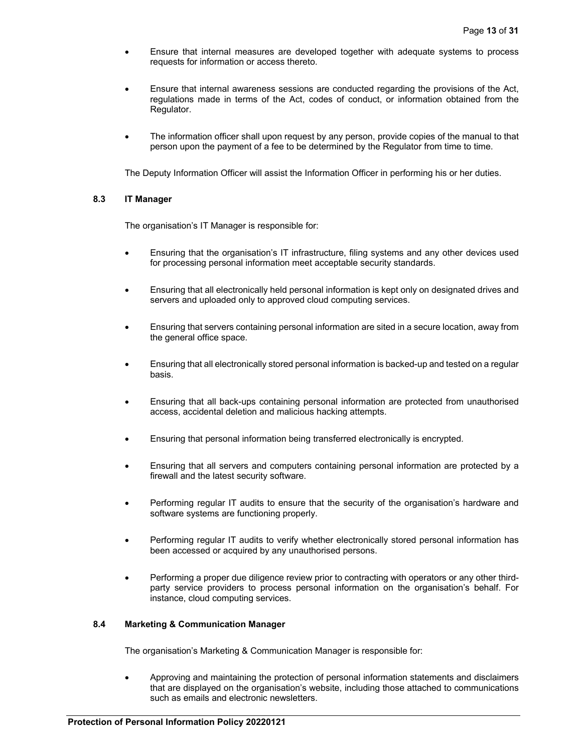- Ensure that internal measures are developed together with adequate systems to process requests for information or access thereto.
- Ensure that internal awareness sessions are conducted regarding the provisions of the Act, regulations made in terms of the Act, codes of conduct, or information obtained from the Regulator.
- The information officer shall upon request by any person, provide copies of the manual to that person upon the payment of a fee to be determined by the Regulator from time to time.

The Deputy Information Officer will assist the Information Officer in performing his or her duties.

## **8.3 IT Manager**

The organisation's IT Manager is responsible for:

- Ensuring that the organisation's IT infrastructure, filing systems and any other devices used for processing personal information meet acceptable security standards.
- Ensuring that all electronically held personal information is kept only on designated drives and servers and uploaded only to approved cloud computing services.
- Ensuring that servers containing personal information are sited in a secure location, away from the general office space.
- Ensuring that all electronically stored personal information is backed-up and tested on a regular basis.
- Ensuring that all back-ups containing personal information are protected from unauthorised access, accidental deletion and malicious hacking attempts.
- Ensuring that personal information being transferred electronically is encrypted.
- Ensuring that all servers and computers containing personal information are protected by a firewall and the latest security software.
- Performing regular IT audits to ensure that the security of the organisation's hardware and software systems are functioning properly.
- Performing regular IT audits to verify whether electronically stored personal information has been accessed or acquired by any unauthorised persons.
- Performing a proper due diligence review prior to contracting with operators or any other thirdparty service providers to process personal information on the organisation's behalf. For instance, cloud computing services.

## **8.4 Marketing & Communication Manager**

The organisation's Marketing & Communication Manager is responsible for:

 Approving and maintaining the protection of personal information statements and disclaimers that are displayed on the organisation's website, including those attached to communications such as emails and electronic newsletters.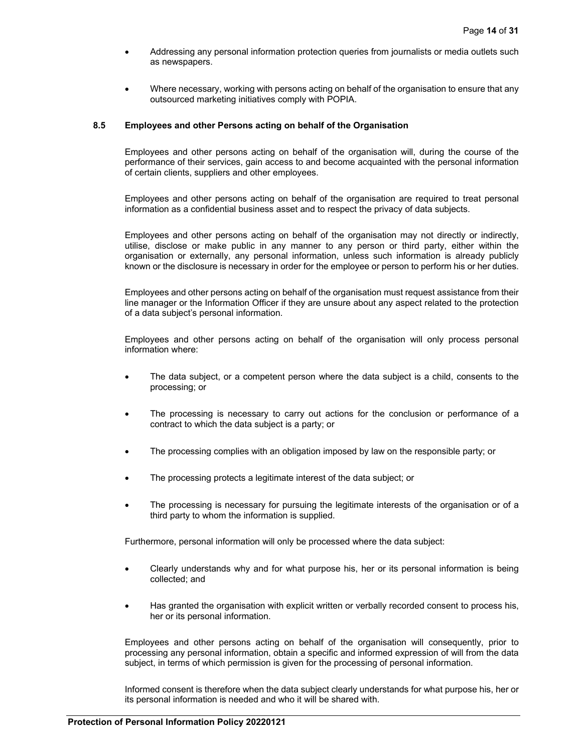- Addressing any personal information protection queries from journalists or media outlets such as newspapers.
- Where necessary, working with persons acting on behalf of the organisation to ensure that any outsourced marketing initiatives comply with POPIA.

## **8.5 Employees and other Persons acting on behalf of the Organisation**

Employees and other persons acting on behalf of the organisation will, during the course of the performance of their services, gain access to and become acquainted with the personal information of certain clients, suppliers and other employees.

Employees and other persons acting on behalf of the organisation are required to treat personal information as a confidential business asset and to respect the privacy of data subjects.

Employees and other persons acting on behalf of the organisation may not directly or indirectly, utilise, disclose or make public in any manner to any person or third party, either within the organisation or externally, any personal information, unless such information is already publicly known or the disclosure is necessary in order for the employee or person to perform his or her duties.

Employees and other persons acting on behalf of the organisation must request assistance from their line manager or the Information Officer if they are unsure about any aspect related to the protection of a data subject's personal information.

Employees and other persons acting on behalf of the organisation will only process personal information where:

- The data subject, or a competent person where the data subject is a child, consents to the processing; or
- The processing is necessary to carry out actions for the conclusion or performance of a contract to which the data subject is a party; or
- The processing complies with an obligation imposed by law on the responsible party; or
- The processing protects a legitimate interest of the data subject; or
- The processing is necessary for pursuing the legitimate interests of the organisation or of a third party to whom the information is supplied.

Furthermore, personal information will only be processed where the data subject:

- Clearly understands why and for what purpose his, her or its personal information is being collected; and
- Has granted the organisation with explicit written or verbally recorded consent to process his, her or its personal information.

Employees and other persons acting on behalf of the organisation will consequently, prior to processing any personal information, obtain a specific and informed expression of will from the data subject, in terms of which permission is given for the processing of personal information.

Informed consent is therefore when the data subject clearly understands for what purpose his, her or its personal information is needed and who it will be shared with.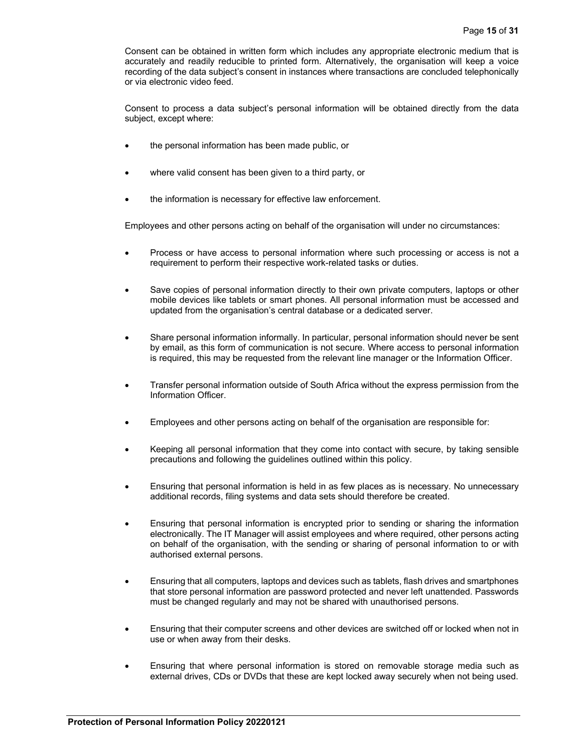Consent can be obtained in written form which includes any appropriate electronic medium that is accurately and readily reducible to printed form. Alternatively, the organisation will keep a voice recording of the data subject's consent in instances where transactions are concluded telephonically or via electronic video feed.

Consent to process a data subject's personal information will be obtained directly from the data subject, except where:

- the personal information has been made public, or
- where valid consent has been given to a third party, or
- the information is necessary for effective law enforcement.

Employees and other persons acting on behalf of the organisation will under no circumstances:

- Process or have access to personal information where such processing or access is not a requirement to perform their respective work-related tasks or duties.
- Save copies of personal information directly to their own private computers, laptops or other mobile devices like tablets or smart phones. All personal information must be accessed and updated from the organisation's central database or a dedicated server.
- Share personal information informally. In particular, personal information should never be sent by email, as this form of communication is not secure. Where access to personal information is required, this may be requested from the relevant line manager or the Information Officer.
- Transfer personal information outside of South Africa without the express permission from the Information Officer.
- Employees and other persons acting on behalf of the organisation are responsible for:
- Keeping all personal information that they come into contact with secure, by taking sensible precautions and following the guidelines outlined within this policy.
- Ensuring that personal information is held in as few places as is necessary. No unnecessary additional records, filing systems and data sets should therefore be created.
- Ensuring that personal information is encrypted prior to sending or sharing the information electronically. The IT Manager will assist employees and where required, other persons acting on behalf of the organisation, with the sending or sharing of personal information to or with authorised external persons.
- Ensuring that all computers, laptops and devices such as tablets, flash drives and smartphones that store personal information are password protected and never left unattended. Passwords must be changed regularly and may not be shared with unauthorised persons.
- Ensuring that their computer screens and other devices are switched off or locked when not in use or when away from their desks.
- Ensuring that where personal information is stored on removable storage media such as external drives, CDs or DVDs that these are kept locked away securely when not being used.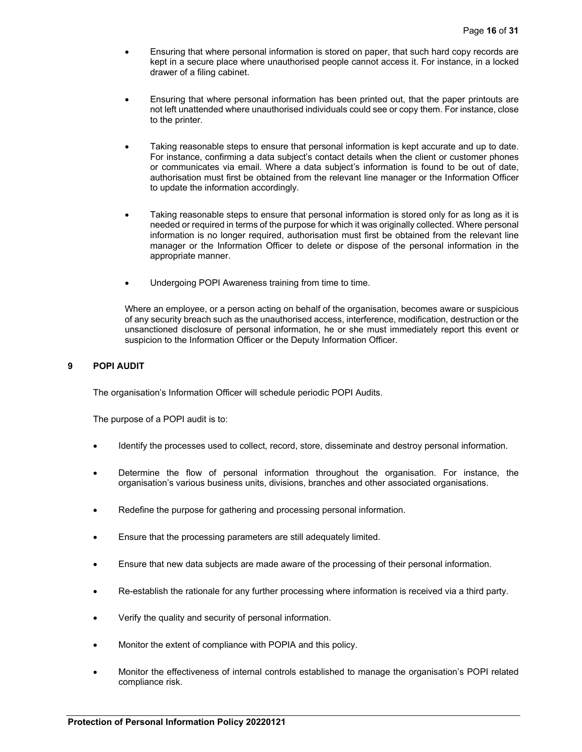- Ensuring that where personal information is stored on paper, that such hard copy records are kept in a secure place where unauthorised people cannot access it. For instance, in a locked drawer of a filing cabinet.
- Ensuring that where personal information has been printed out, that the paper printouts are not left unattended where unauthorised individuals could see or copy them. For instance, close to the printer.
- Taking reasonable steps to ensure that personal information is kept accurate and up to date. For instance, confirming a data subject's contact details when the client or customer phones or communicates via email. Where a data subject's information is found to be out of date, authorisation must first be obtained from the relevant line manager or the Information Officer to update the information accordingly.
- Taking reasonable steps to ensure that personal information is stored only for as long as it is needed or required in terms of the purpose for which it was originally collected. Where personal information is no longer required, authorisation must first be obtained from the relevant line manager or the Information Officer to delete or dispose of the personal information in the appropriate manner.
- Undergoing POPI Awareness training from time to time.

Where an employee, or a person acting on behalf of the organisation, becomes aware or suspicious of any security breach such as the unauthorised access, interference, modification, destruction or the unsanctioned disclosure of personal information, he or she must immediately report this event or suspicion to the Information Officer or the Deputy Information Officer.

## **9 POPI AUDIT**

The organisation's Information Officer will schedule periodic POPI Audits.

The purpose of a POPI audit is to:

- Identify the processes used to collect, record, store, disseminate and destroy personal information.
- Determine the flow of personal information throughout the organisation. For instance, the organisation's various business units, divisions, branches and other associated organisations.
- Redefine the purpose for gathering and processing personal information.
- Ensure that the processing parameters are still adequately limited.
- Ensure that new data subjects are made aware of the processing of their personal information.
- Re-establish the rationale for any further processing where information is received via a third party.
- Verify the quality and security of personal information.
- Monitor the extent of compliance with POPIA and this policy.
- Monitor the effectiveness of internal controls established to manage the organisation's POPI related compliance risk.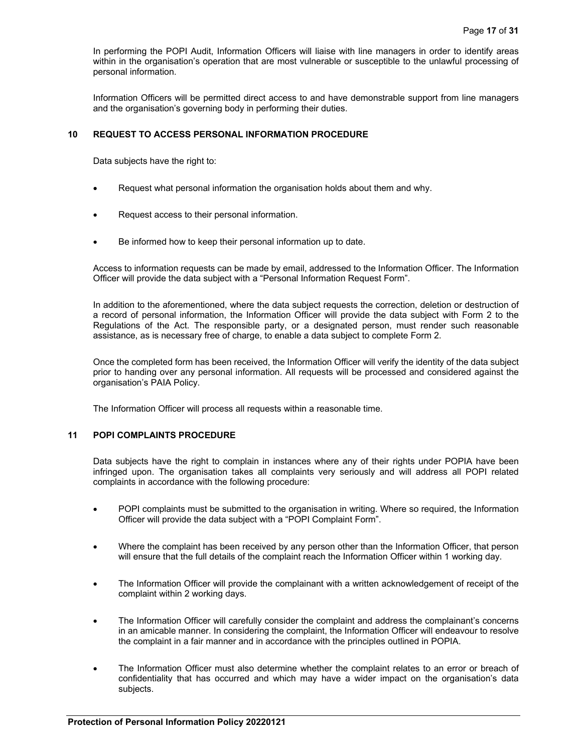In performing the POPI Audit, Information Officers will liaise with line managers in order to identify areas within in the organisation's operation that are most vulnerable or susceptible to the unlawful processing of personal information.

Information Officers will be permitted direct access to and have demonstrable support from line managers and the organisation's governing body in performing their duties.

### **10 REQUEST TO ACCESS PERSONAL INFORMATION PROCEDURE**

Data subjects have the right to:

- Request what personal information the organisation holds about them and why.
- Request access to their personal information.
- Be informed how to keep their personal information up to date.

Access to information requests can be made by email, addressed to the Information Officer. The Information Officer will provide the data subject with a "Personal Information Request Form".

In addition to the aforementioned, where the data subject requests the correction, deletion or destruction of a record of personal information, the Information Officer will provide the data subject with Form 2 to the Regulations of the Act. The responsible party, or a designated person, must render such reasonable assistance, as is necessary free of charge, to enable a data subject to complete Form 2.

Once the completed form has been received, the Information Officer will verify the identity of the data subject prior to handing over any personal information. All requests will be processed and considered against the organisation's PAIA Policy.

The Information Officer will process all requests within a reasonable time.

### **11 POPI COMPLAINTS PROCEDURE**

Data subjects have the right to complain in instances where any of their rights under POPIA have been infringed upon. The organisation takes all complaints very seriously and will address all POPI related complaints in accordance with the following procedure:

- POPI complaints must be submitted to the organisation in writing. Where so required, the Information Officer will provide the data subject with a "POPI Complaint Form".
- Where the complaint has been received by any person other than the Information Officer, that person will ensure that the full details of the complaint reach the Information Officer within 1 working day.
- The Information Officer will provide the complainant with a written acknowledgement of receipt of the complaint within 2 working days.
- The Information Officer will carefully consider the complaint and address the complainant's concerns in an amicable manner. In considering the complaint, the Information Officer will endeavour to resolve the complaint in a fair manner and in accordance with the principles outlined in POPIA.
- The Information Officer must also determine whether the complaint relates to an error or breach of confidentiality that has occurred and which may have a wider impact on the organisation's data subjects.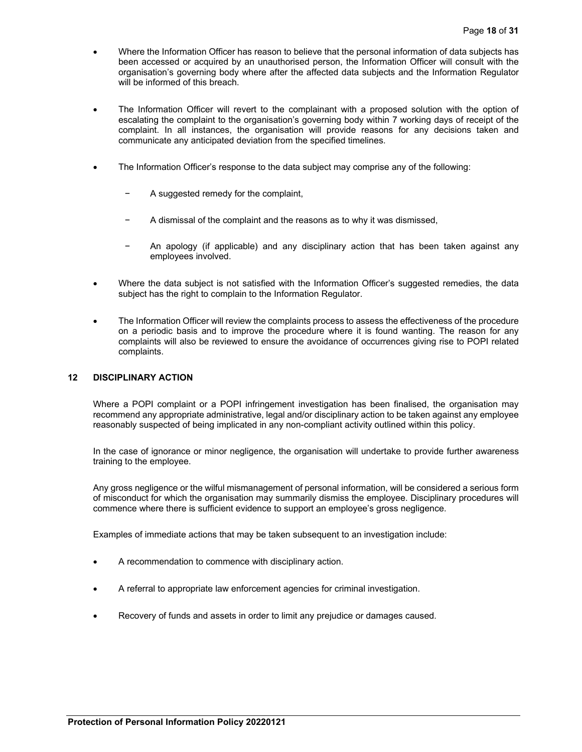- Where the Information Officer has reason to believe that the personal information of data subjects has been accessed or acquired by an unauthorised person, the Information Officer will consult with the organisation's governing body where after the affected data subjects and the Information Regulator will be informed of this breach.
- The Information Officer will revert to the complainant with a proposed solution with the option of escalating the complaint to the organisation's governing body within 7 working days of receipt of the complaint. In all instances, the organisation will provide reasons for any decisions taken and communicate any anticipated deviation from the specified timelines.
- The Information Officer's response to the data subject may comprise any of the following:
	- − A suggested remedy for the complaint,
	- A dismissal of the complaint and the reasons as to why it was dismissed,
	- − An apology (if applicable) and any disciplinary action that has been taken against any employees involved.
- Where the data subject is not satisfied with the Information Officer's suggested remedies, the data subject has the right to complain to the Information Regulator.
- The Information Officer will review the complaints process to assess the effectiveness of the procedure on a periodic basis and to improve the procedure where it is found wanting. The reason for any complaints will also be reviewed to ensure the avoidance of occurrences giving rise to POPI related complaints.

### **12 DISCIPLINARY ACTION**

Where a POPI complaint or a POPI infringement investigation has been finalised, the organisation may recommend any appropriate administrative, legal and/or disciplinary action to be taken against any employee reasonably suspected of being implicated in any non-compliant activity outlined within this policy.

In the case of ignorance or minor negligence, the organisation will undertake to provide further awareness training to the employee.

Any gross negligence or the wilful mismanagement of personal information, will be considered a serious form of misconduct for which the organisation may summarily dismiss the employee. Disciplinary procedures will commence where there is sufficient evidence to support an employee's gross negligence.

Examples of immediate actions that may be taken subsequent to an investigation include:

- A recommendation to commence with disciplinary action.
- A referral to appropriate law enforcement agencies for criminal investigation.
- Recovery of funds and assets in order to limit any prejudice or damages caused.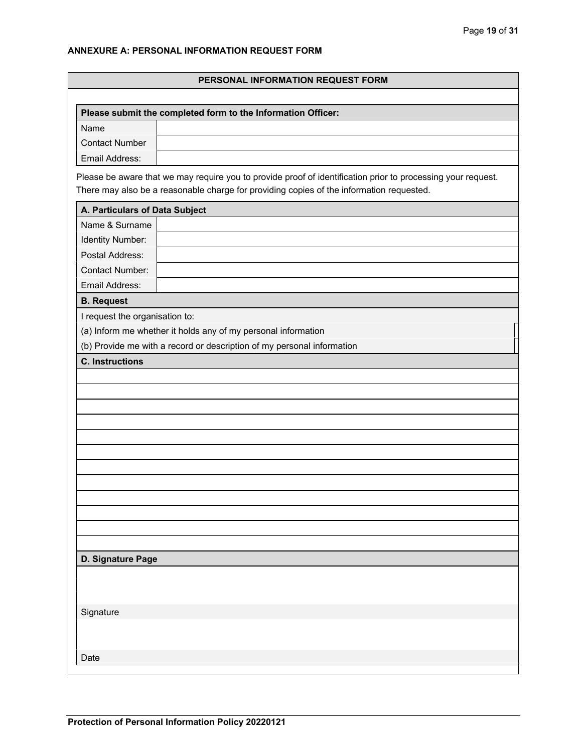# **ANNEXURE A: PERSONAL INFORMATION REQUEST FORM**

| PERSONAL INFORMATION REQUEST FORM |                                                                                                                                                                                                          |  |  |  |
|-----------------------------------|----------------------------------------------------------------------------------------------------------------------------------------------------------------------------------------------------------|--|--|--|
|                                   |                                                                                                                                                                                                          |  |  |  |
|                                   | Please submit the completed form to the Information Officer:                                                                                                                                             |  |  |  |
| Name                              |                                                                                                                                                                                                          |  |  |  |
| <b>Contact Number</b>             |                                                                                                                                                                                                          |  |  |  |
| Email Address:                    |                                                                                                                                                                                                          |  |  |  |
|                                   | Please be aware that we may require you to provide proof of identification prior to processing your request.<br>There may also be a reasonable charge for providing copies of the information requested. |  |  |  |
| A. Particulars of Data Subject    |                                                                                                                                                                                                          |  |  |  |
| Name & Surname                    |                                                                                                                                                                                                          |  |  |  |
| Identity Number:                  |                                                                                                                                                                                                          |  |  |  |
| Postal Address:                   |                                                                                                                                                                                                          |  |  |  |
| <b>Contact Number:</b>            |                                                                                                                                                                                                          |  |  |  |
| Email Address:                    |                                                                                                                                                                                                          |  |  |  |
| <b>B. Request</b>                 |                                                                                                                                                                                                          |  |  |  |
| I request the organisation to:    |                                                                                                                                                                                                          |  |  |  |
|                                   | (a) Inform me whether it holds any of my personal information                                                                                                                                            |  |  |  |
|                                   | (b) Provide me with a record or description of my personal information                                                                                                                                   |  |  |  |
| <b>C.</b> Instructions            |                                                                                                                                                                                                          |  |  |  |
|                                   |                                                                                                                                                                                                          |  |  |  |
|                                   |                                                                                                                                                                                                          |  |  |  |
|                                   |                                                                                                                                                                                                          |  |  |  |
|                                   |                                                                                                                                                                                                          |  |  |  |
|                                   |                                                                                                                                                                                                          |  |  |  |
|                                   |                                                                                                                                                                                                          |  |  |  |
|                                   |                                                                                                                                                                                                          |  |  |  |
|                                   |                                                                                                                                                                                                          |  |  |  |
|                                   |                                                                                                                                                                                                          |  |  |  |
|                                   |                                                                                                                                                                                                          |  |  |  |
|                                   |                                                                                                                                                                                                          |  |  |  |
|                                   |                                                                                                                                                                                                          |  |  |  |
| D. Signature Page                 |                                                                                                                                                                                                          |  |  |  |
|                                   |                                                                                                                                                                                                          |  |  |  |
|                                   |                                                                                                                                                                                                          |  |  |  |
|                                   |                                                                                                                                                                                                          |  |  |  |
| Signature                         |                                                                                                                                                                                                          |  |  |  |
|                                   |                                                                                                                                                                                                          |  |  |  |
|                                   |                                                                                                                                                                                                          |  |  |  |
| Date                              |                                                                                                                                                                                                          |  |  |  |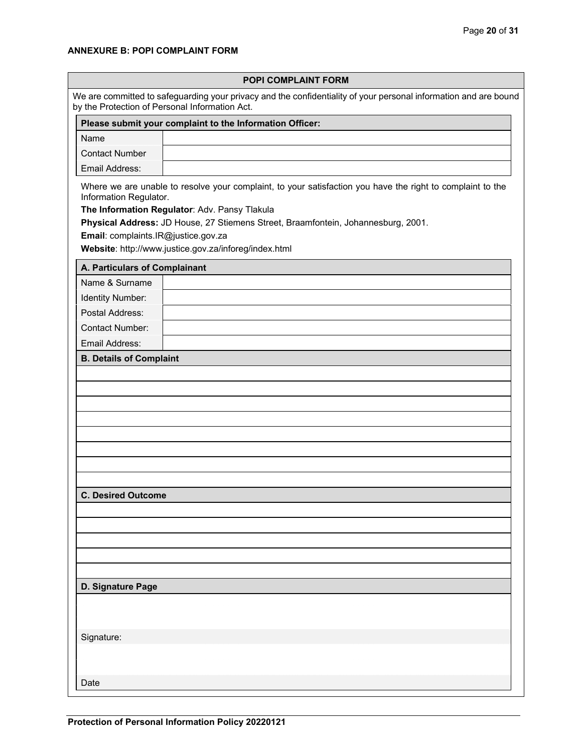# **ANNEXURE B: POPI COMPLAINT FORM**

| POPI COMPLAINT FORM                                                                                                                                                |                                                                                                            |  |  |
|--------------------------------------------------------------------------------------------------------------------------------------------------------------------|------------------------------------------------------------------------------------------------------------|--|--|
| We are committed to safeguarding your privacy and the confidentiality of your personal information and are bound<br>by the Protection of Personal Information Act. |                                                                                                            |  |  |
|                                                                                                                                                                    | Please submit your complaint to the Information Officer:                                                   |  |  |
| Name                                                                                                                                                               |                                                                                                            |  |  |
| <b>Contact Number</b>                                                                                                                                              |                                                                                                            |  |  |
| Email Address:                                                                                                                                                     |                                                                                                            |  |  |
| Information Regulator.                                                                                                                                             | Where we are unable to resolve your complaint, to your satisfaction you have the right to complaint to the |  |  |
|                                                                                                                                                                    | The Information Regulator: Adv. Pansy Tlakula                                                              |  |  |
|                                                                                                                                                                    | Physical Address: JD House, 27 Stiemens Street, Braamfontein, Johannesburg, 2001.                          |  |  |
| Email: complaints.IR@justice.gov.za                                                                                                                                |                                                                                                            |  |  |
|                                                                                                                                                                    | Website: http://www.justice.gov.za/inforeg/index.html                                                      |  |  |
| A. Particulars of Complainant                                                                                                                                      |                                                                                                            |  |  |
| Name & Surname                                                                                                                                                     |                                                                                                            |  |  |
| Identity Number:                                                                                                                                                   |                                                                                                            |  |  |
| Postal Address:                                                                                                                                                    |                                                                                                            |  |  |
| <b>Contact Number:</b>                                                                                                                                             |                                                                                                            |  |  |
| Email Address:                                                                                                                                                     |                                                                                                            |  |  |
| <b>B. Details of Complaint</b>                                                                                                                                     |                                                                                                            |  |  |
|                                                                                                                                                                    |                                                                                                            |  |  |
|                                                                                                                                                                    |                                                                                                            |  |  |
|                                                                                                                                                                    |                                                                                                            |  |  |
|                                                                                                                                                                    |                                                                                                            |  |  |
|                                                                                                                                                                    |                                                                                                            |  |  |
|                                                                                                                                                                    |                                                                                                            |  |  |
|                                                                                                                                                                    |                                                                                                            |  |  |
|                                                                                                                                                                    |                                                                                                            |  |  |
| <b>C. Desired Outcome</b>                                                                                                                                          |                                                                                                            |  |  |
|                                                                                                                                                                    |                                                                                                            |  |  |
|                                                                                                                                                                    |                                                                                                            |  |  |
|                                                                                                                                                                    |                                                                                                            |  |  |
|                                                                                                                                                                    |                                                                                                            |  |  |
|                                                                                                                                                                    |                                                                                                            |  |  |
| D. Signature Page                                                                                                                                                  |                                                                                                            |  |  |
|                                                                                                                                                                    |                                                                                                            |  |  |
|                                                                                                                                                                    |                                                                                                            |  |  |
|                                                                                                                                                                    |                                                                                                            |  |  |
| Signature:                                                                                                                                                         |                                                                                                            |  |  |
|                                                                                                                                                                    |                                                                                                            |  |  |
|                                                                                                                                                                    |                                                                                                            |  |  |
| Date                                                                                                                                                               |                                                                                                            |  |  |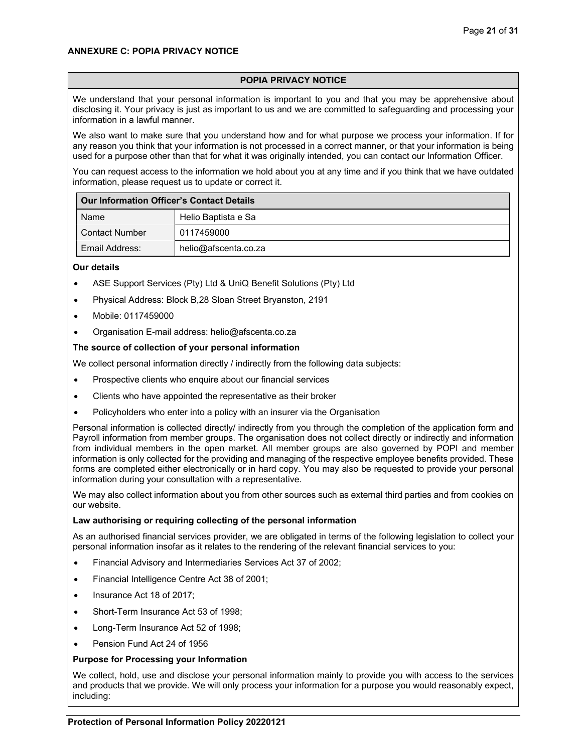## **ANNEXURE C: POPIA PRIVACY NOTICE**

# **POPIA PRIVACY NOTICE**

We understand that your personal information is important to you and that you may be apprehensive about disclosing it. Your privacy is just as important to us and we are committed to safeguarding and processing your information in a lawful manner.

We also want to make sure that you understand how and for what purpose we process your information. If for any reason you think that your information is not processed in a correct manner, or that your information is being used for a purpose other than that for what it was originally intended, you can contact our Information Officer.

You can request access to the information we hold about you at any time and if you think that we have outdated information, please request us to update or correct it.

| <b>Our Information Officer's Contact Details</b> |                      |  |
|--------------------------------------------------|----------------------|--|
| Name                                             | Helio Baptista e Sa  |  |
| <b>Contact Number</b>                            | 0117459000           |  |
| Email Address:                                   | helio@afscenta.co.za |  |

### **Our details**

- ASE Support Services (Pty) Ltd & UniQ Benefit Solutions (Pty) Ltd
- Physical Address: Block B,28 Sloan Street Bryanston, 2191
- Mobile: 0117459000
- Organisation E-mail address: helio@afscenta.co.za

## **The source of collection of your personal information**

We collect personal information directly / indirectly from the following data subjects:

- Prospective clients who enquire about our financial services
- Clients who have appointed the representative as their broker
- Policyholders who enter into a policy with an insurer via the Organisation

Personal information is collected directly/ indirectly from you through the completion of the application form and Payroll information from member groups. The organisation does not collect directly or indirectly and information from individual members in the open market. All member groups are also governed by POPI and member information is only collected for the providing and managing of the respective employee benefits provided. These forms are completed either electronically or in hard copy. You may also be requested to provide your personal information during your consultation with a representative.

We may also collect information about you from other sources such as external third parties and from cookies on our website.

### **Law authorising or requiring collecting of the personal information**

As an authorised financial services provider, we are obligated in terms of the following legislation to collect your personal information insofar as it relates to the rendering of the relevant financial services to you:

- Financial Advisory and Intermediaries Services Act 37 of 2002;
- Financial Intelligence Centre Act 38 of 2001;
- Insurance Act 18 of 2017;
- Short-Term Insurance Act 53 of 1998;
- Long-Term Insurance Act 52 of 1998;
- Pension Fund Act 24 of 1956

### **Purpose for Processing your Information**

We collect, hold, use and disclose your personal information mainly to provide you with access to the services and products that we provide. We will only process your information for a purpose you would reasonably expect, including: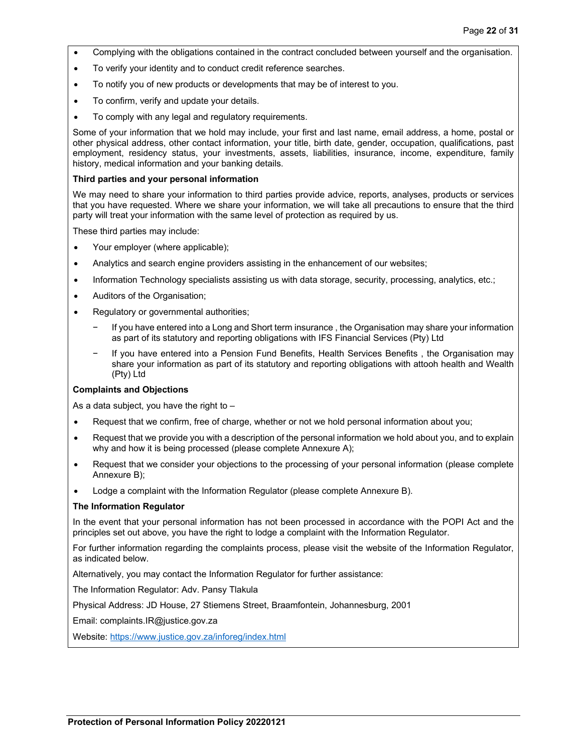- Complying with the obligations contained in the contract concluded between yourself and the organisation.
- To verify your identity and to conduct credit reference searches.
- To notify you of new products or developments that may be of interest to you.
- To confirm, verify and update your details.
- To comply with any legal and regulatory requirements.

Some of your information that we hold may include, your first and last name, email address, a home, postal or other physical address, other contact information, your title, birth date, gender, occupation, qualifications, past employment, residency status, your investments, assets, liabilities, insurance, income, expenditure, family history, medical information and your banking details.

### **Third parties and your personal information**

We may need to share your information to third parties provide advice, reports, analyses, products or services that you have requested. Where we share your information, we will take all precautions to ensure that the third party will treat your information with the same level of protection as required by us.

These third parties may include:

- Your employer (where applicable);
- Analytics and search engine providers assisting in the enhancement of our websites;
- Information Technology specialists assisting us with data storage, security, processing, analytics, etc.;
- Auditors of the Organisation;
- Regulatory or governmental authorities;
	- If you have entered into a Long and Short term insurance, the Organisation may share your information as part of its statutory and reporting obligations with IFS Financial Services (Pty) Ltd
	- − If you have entered into a Pension Fund Benefits, Health Services Benefits , the Organisation may share your information as part of its statutory and reporting obligations with attooh health and Wealth (Pty) Ltd

### **Complaints and Objections**

As a data subject, you have the right to  $-$ 

- Request that we confirm, free of charge, whether or not we hold personal information about you;
- Request that we provide you with a description of the personal information we hold about you, and to explain why and how it is being processed (please complete Annexure A);
- Request that we consider your objections to the processing of your personal information (please complete Annexure B);
- Lodge a complaint with the Information Regulator (please complete Annexure B).

## **The Information Regulator**

In the event that your personal information has not been processed in accordance with the POPI Act and the principles set out above, you have the right to lodge a complaint with the Information Regulator.

For further information regarding the complaints process, please visit the website of the Information Regulator, as indicated below.

Alternatively, you may contact the Information Regulator for further assistance:

The Information Regulator: Adv. Pansy Tlakula

Physical Address: JD House, 27 Stiemens Street, Braamfontein, Johannesburg, 2001

Email: complaints.IR@justice.gov.za

Website: https://www.justice.gov.za/inforeg/index.html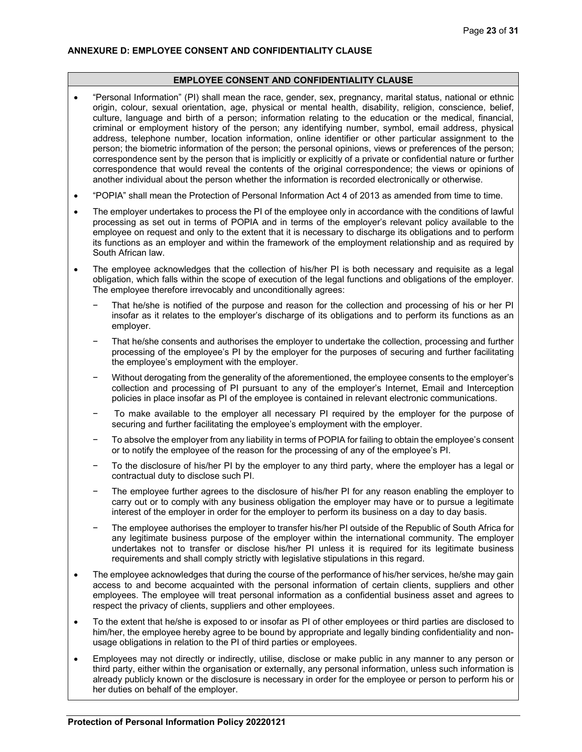#### **EMPLOYEE CONSENT AND CONFIDENTIALITY CLAUSE**

- "Personal Information" (PI) shall mean the race, gender, sex, pregnancy, marital status, national or ethnic origin, colour, sexual orientation, age, physical or mental health, disability, religion, conscience, belief, culture, language and birth of a person; information relating to the education or the medical, financial, criminal or employment history of the person; any identifying number, symbol, email address, physical address, telephone number, location information, online identifier or other particular assignment to the person; the biometric information of the person; the personal opinions, views or preferences of the person; correspondence sent by the person that is implicitly or explicitly of a private or confidential nature or further correspondence that would reveal the contents of the original correspondence; the views or opinions of another individual about the person whether the information is recorded electronically or otherwise.
- "POPIA" shall mean the Protection of Personal Information Act 4 of 2013 as amended from time to time.
- The employer undertakes to process the PI of the employee only in accordance with the conditions of lawful processing as set out in terms of POPIA and in terms of the employer's relevant policy available to the employee on request and only to the extent that it is necessary to discharge its obligations and to perform its functions as an employer and within the framework of the employment relationship and as required by South African law.
- The employee acknowledges that the collection of his/her PI is both necessary and requisite as a legal obligation, which falls within the scope of execution of the legal functions and obligations of the employer. The employee therefore irrevocably and unconditionally agrees:
	- That he/she is notified of the purpose and reason for the collection and processing of his or her PI insofar as it relates to the employer's discharge of its obligations and to perform its functions as an employer.
	- That he/she consents and authorises the employer to undertake the collection, processing and further processing of the employee's PI by the employer for the purposes of securing and further facilitating the employee's employment with the employer.
	- − Without derogating from the generality of the aforementioned, the employee consents to the employer's collection and processing of PI pursuant to any of the employer's Internet, Email and Interception policies in place insofar as PI of the employee is contained in relevant electronic communications.
	- To make available to the employer all necessary PI required by the employer for the purpose of securing and further facilitating the employee's employment with the employer.
	- To absolve the employer from any liability in terms of POPIA for failing to obtain the employee's consent or to notify the employee of the reason for the processing of any of the employee's PI.
	- − To the disclosure of his/her PI by the employer to any third party, where the employer has a legal or contractual duty to disclose such PI.
	- The employee further agrees to the disclosure of his/her PI for any reason enabling the employer to carry out or to comply with any business obligation the employer may have or to pursue a legitimate interest of the employer in order for the employer to perform its business on a day to day basis.
	- The employee authorises the employer to transfer his/her PI outside of the Republic of South Africa for any legitimate business purpose of the employer within the international community. The employer undertakes not to transfer or disclose his/her PI unless it is required for its legitimate business requirements and shall comply strictly with legislative stipulations in this regard.
- The employee acknowledges that during the course of the performance of his/her services, he/she may gain access to and become acquainted with the personal information of certain clients, suppliers and other employees. The employee will treat personal information as a confidential business asset and agrees to respect the privacy of clients, suppliers and other employees.
- To the extent that he/she is exposed to or insofar as PI of other employees or third parties are disclosed to him/her, the employee hereby agree to be bound by appropriate and legally binding confidentiality and nonusage obligations in relation to the PI of third parties or employees.
- Employees may not directly or indirectly, utilise, disclose or make public in any manner to any person or third party, either within the organisation or externally, any personal information, unless such information is already publicly known or the disclosure is necessary in order for the employee or person to perform his or her duties on behalf of the employer.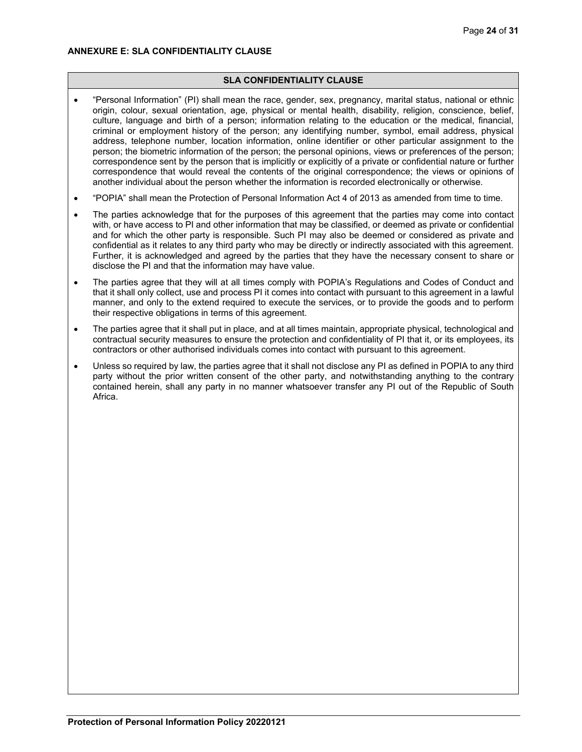## **ANNEXURE E: SLA CONFIDENTIALITY CLAUSE**

## **SLA CONFIDENTIALITY CLAUSE**

- "Personal Information" (PI) shall mean the race, gender, sex, pregnancy, marital status, national or ethnic origin, colour, sexual orientation, age, physical or mental health, disability, religion, conscience, belief, culture, language and birth of a person; information relating to the education or the medical, financial, criminal or employment history of the person; any identifying number, symbol, email address, physical address, telephone number, location information, online identifier or other particular assignment to the person; the biometric information of the person; the personal opinions, views or preferences of the person; correspondence sent by the person that is implicitly or explicitly of a private or confidential nature or further correspondence that would reveal the contents of the original correspondence; the views or opinions of another individual about the person whether the information is recorded electronically or otherwise.
- "POPIA" shall mean the Protection of Personal Information Act 4 of 2013 as amended from time to time.
- The parties acknowledge that for the purposes of this agreement that the parties may come into contact with, or have access to PI and other information that may be classified, or deemed as private or confidential and for which the other party is responsible. Such PI may also be deemed or considered as private and confidential as it relates to any third party who may be directly or indirectly associated with this agreement. Further, it is acknowledged and agreed by the parties that they have the necessary consent to share or disclose the PI and that the information may have value.
- The parties agree that they will at all times comply with POPIA's Regulations and Codes of Conduct and that it shall only collect, use and process PI it comes into contact with pursuant to this agreement in a lawful manner, and only to the extend required to execute the services, or to provide the goods and to perform their respective obligations in terms of this agreement.
- The parties agree that it shall put in place, and at all times maintain, appropriate physical, technological and contractual security measures to ensure the protection and confidentiality of PI that it, or its employees, its contractors or other authorised individuals comes into contact with pursuant to this agreement.
- Unless so required by law, the parties agree that it shall not disclose any PI as defined in POPIA to any third party without the prior written consent of the other party, and notwithstanding anything to the contrary contained herein, shall any party in no manner whatsoever transfer any PI out of the Republic of South Africa.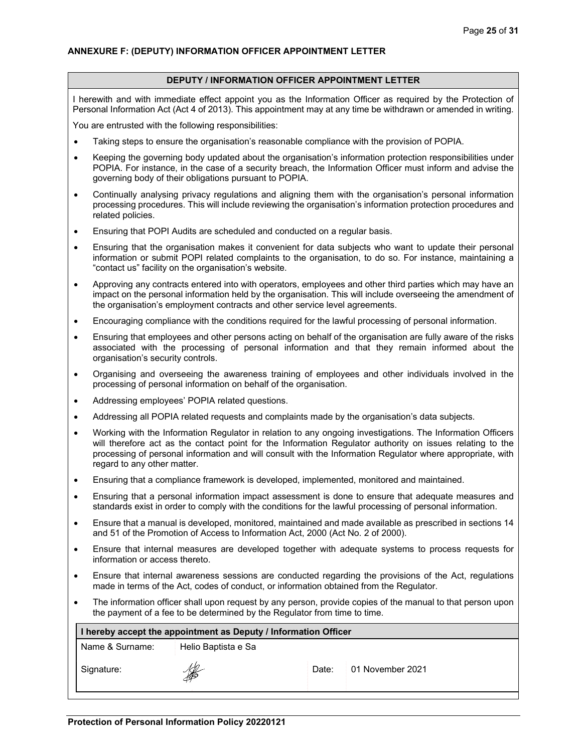#### **DEPUTY / INFORMATION OFFICER APPOINTMENT LETTER**

I herewith and with immediate effect appoint you as the Information Officer as required by the Protection of Personal Information Act (Act 4 of 2013). This appointment may at any time be withdrawn or amended in writing.

You are entrusted with the following responsibilities:

- Taking steps to ensure the organisation's reasonable compliance with the provision of POPIA.
- Keeping the governing body updated about the organisation's information protection responsibilities under POPIA. For instance, in the case of a security breach, the Information Officer must inform and advise the governing body of their obligations pursuant to POPIA.
- Continually analysing privacy regulations and aligning them with the organisation's personal information processing procedures. This will include reviewing the organisation's information protection procedures and related policies.
- Ensuring that POPI Audits are scheduled and conducted on a regular basis.
- Ensuring that the organisation makes it convenient for data subjects who want to update their personal information or submit POPI related complaints to the organisation, to do so. For instance, maintaining a "contact us" facility on the organisation's website.
- Approving any contracts entered into with operators, employees and other third parties which may have an impact on the personal information held by the organisation. This will include overseeing the amendment of the organisation's employment contracts and other service level agreements.
- Encouraging compliance with the conditions required for the lawful processing of personal information.
- Ensuring that employees and other persons acting on behalf of the organisation are fully aware of the risks associated with the processing of personal information and that they remain informed about the organisation's security controls.
- Organising and overseeing the awareness training of employees and other individuals involved in the processing of personal information on behalf of the organisation.
- Addressing employees' POPIA related questions.
- Addressing all POPIA related requests and complaints made by the organisation's data subjects.
- Working with the Information Regulator in relation to any ongoing investigations. The Information Officers will therefore act as the contact point for the Information Regulator authority on issues relating to the processing of personal information and will consult with the Information Regulator where appropriate, with regard to any other matter.
- Ensuring that a compliance framework is developed, implemented, monitored and maintained.
- Ensuring that a personal information impact assessment is done to ensure that adequate measures and standards exist in order to comply with the conditions for the lawful processing of personal information.
- Ensure that a manual is developed, monitored, maintained and made available as prescribed in sections 14 and 51 of the Promotion of Access to Information Act, 2000 (Act No. 2 of 2000).
- Ensure that internal measures are developed together with adequate systems to process requests for information or access thereto.
- Ensure that internal awareness sessions are conducted regarding the provisions of the Act, regulations made in terms of the Act, codes of conduct, or information obtained from the Regulator.
- The information officer shall upon request by any person, provide copies of the manual to that person upon the payment of a fee to be determined by the Regulator from time to time.

| I hereby accept the appointment as Deputy / Information Officer |                     |       |                  |
|-----------------------------------------------------------------|---------------------|-------|------------------|
| Name & Surname:                                                 | Helio Baptista e Sa |       |                  |
| Signature:                                                      | SAS                 | Date: | 01 November 2021 |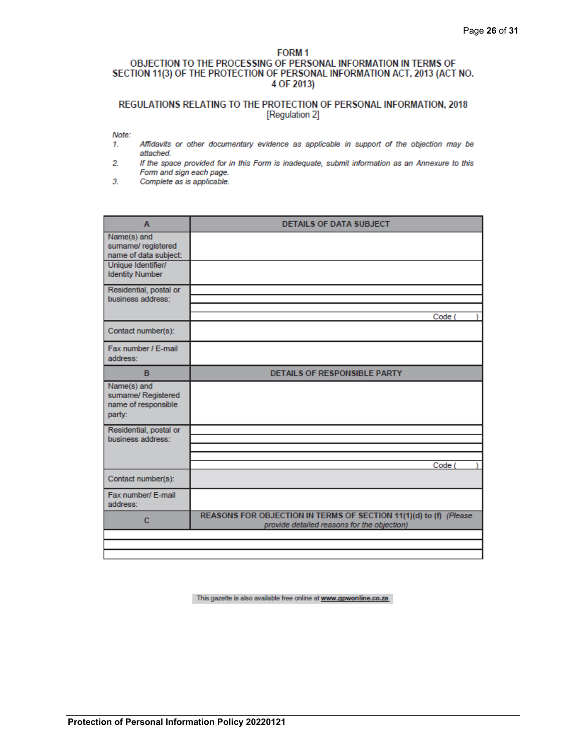## FORM<sub>1</sub> OBJECTION TO THE PROCESSING OF PERSONAL INFORMATION IN TERMS OF SECTION 11(3) OF THE PROTECTION OF PERSONAL INFORMATION ACT, 2013 (ACT NO. 4 OF 2013)

# REGULATIONS RELATING TO THE PROTECTION OF PERSONAL INFORMATION, 2018 [Regulation 2]

Note:

- Affidavits or other documentary evidence as applicable in support of the objection may be 1. attached.
- $2.$ If the space provided for in this Form is inadequate, submit information as an Annexure to this Form and sign each page.
- $3.$ Complete as is applicable.

| A                                                                  | <b>DETAILS OF DATA SUBJECT</b>                                                                                   |
|--------------------------------------------------------------------|------------------------------------------------------------------------------------------------------------------|
| Name(s) and<br>sumame/ registered<br>name of data subject:         |                                                                                                                  |
| Unique Identifier/<br><b>Identity Number</b>                       |                                                                                                                  |
| Residential, postal or<br>business address:                        |                                                                                                                  |
|                                                                    | Code (                                                                                                           |
| Contact number(s):                                                 |                                                                                                                  |
| Fax number / E-mail<br>address:                                    |                                                                                                                  |
| B                                                                  | <b>DETAILS OF RESPONSIBLE PARTY</b>                                                                              |
| Name(s) and<br>sumame/ Registered<br>name of responsible<br>party: |                                                                                                                  |
| Residential, postal or<br>business address:                        |                                                                                                                  |
|                                                                    |                                                                                                                  |
|                                                                    | Code (                                                                                                           |
| Contact number(s):                                                 |                                                                                                                  |
| Fax number/ E-mail<br>address:                                     |                                                                                                                  |
| c                                                                  | REASONS FOR OBJECTION IN TERMS OF SECTION 11(1)(d) to (f) (Please<br>provide detailed reasons for the objection) |
|                                                                    |                                                                                                                  |
|                                                                    |                                                                                                                  |

This gazette is also available free online at www.gpwonline.co.za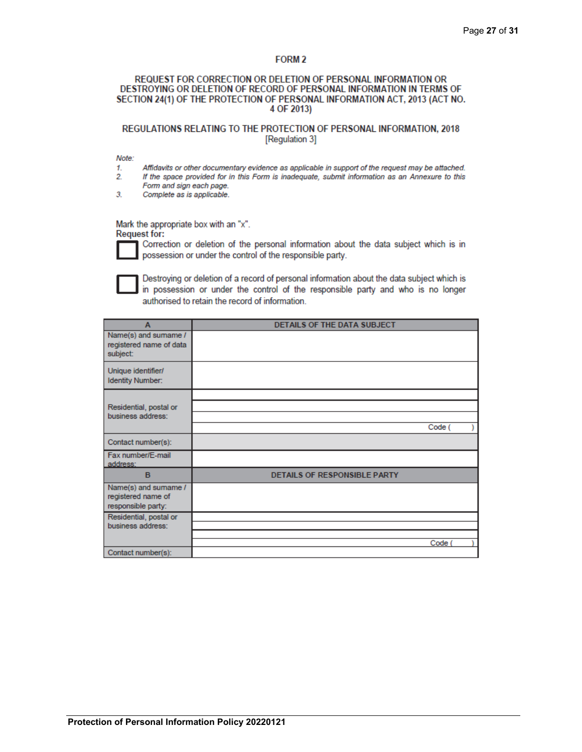# FORM<sub>2</sub>

### REQUEST FOR CORRECTION OR DELETION OF PERSONAL INFORMATION OR DESTROYING OR DELETION OF RECORD OF PERSONAL INFORMATION IN TERMS OF SECTION 24(1) OF THE PROTECTION OF PERSONAL INFORMATION ACT, 2013 (ACT NO. 4 OF 2013)

# REGULATIONS RELATING TO THE PROTECTION OF PERSONAL INFORMATION, 2018 [Regulation 3]

Note:

- 1. Affidavits or other documentary evidence as applicable in support of the request may be attached.  $\overline{2}$ . If the space provided for in this Form is inadequate, submit information as an Annexure to this
- Form and sign each page.
- $3<sub>1</sub>$ Complete as is applicable.

Mark the appropriate box with an "x". **Request for:** 



Correction or deletion of the personal information about the data subject which is in possession or under the control of the responsible party.



Destroying or deletion of a record of personal information about the data subject which is in possession or under the control of the responsible party and who is no longer authorised to retain the record of information.

| A                                                                | DETAILS OF THE DATA SUBJECT  |        |
|------------------------------------------------------------------|------------------------------|--------|
| Name(s) and sumame /<br>registered name of data<br>subject:      |                              |        |
| Unique identifier/<br><b>Identity Number:</b>                    |                              |        |
| Residential, postal or<br>business address:                      |                              | Code ( |
| Contact number(s):                                               |                              |        |
| Fax number/E-mail<br>address:                                    |                              |        |
| B                                                                | DETAILS OF RESPONSIBLE PARTY |        |
| Name(s) and sumame /<br>registered name of<br>responsible party: |                              |        |
| Residential, postal or<br>business address:                      |                              |        |
| Contact number(s):                                               |                              | Code ( |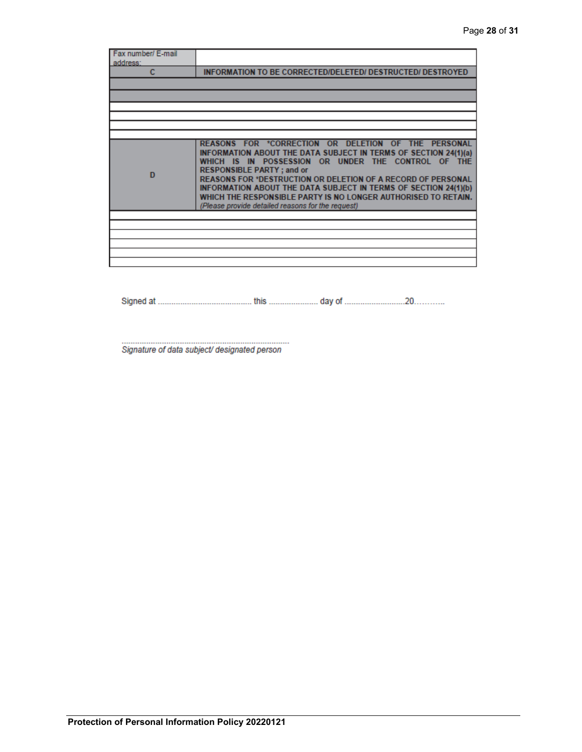| Fax number/ E-mail |                                                                                                                                                                                                                                                                                                                                                                                                                                                                                   |
|--------------------|-----------------------------------------------------------------------------------------------------------------------------------------------------------------------------------------------------------------------------------------------------------------------------------------------------------------------------------------------------------------------------------------------------------------------------------------------------------------------------------|
| address:<br>c      | <b>INFORMATION TO BE CORRECTED/DELETED/ DESTRUCTED/ DESTROYED</b>                                                                                                                                                                                                                                                                                                                                                                                                                 |
|                    |                                                                                                                                                                                                                                                                                                                                                                                                                                                                                   |
|                    |                                                                                                                                                                                                                                                                                                                                                                                                                                                                                   |
|                    |                                                                                                                                                                                                                                                                                                                                                                                                                                                                                   |
|                    |                                                                                                                                                                                                                                                                                                                                                                                                                                                                                   |
|                    |                                                                                                                                                                                                                                                                                                                                                                                                                                                                                   |
| D                  | REASONS FOR *CORRECTION OR DELETION OF THE PERSONAL<br>INFORMATION ABOUT THE DATA SUBJECT IN TERMS OF SECTION 24(1)(a)<br>WHICH IS IN POSSESSION OR UNDER THE CONTROL OF THE<br><b>RESPONSIBLE PARTY; and or</b><br><b>REASONS FOR *DESTRUCTION OR DELETION OF A RECORD OF PERSONAL</b><br>INFORMATION ABOUT THE DATA SUBJECT IN TERMS OF SECTION 24(1)(b)<br>WHICH THE RESPONSIBLE PARTY IS NO LONGER AUTHORISED TO RETAIN.<br>(Please provide detailed reasons for the request) |
|                    |                                                                                                                                                                                                                                                                                                                                                                                                                                                                                   |
|                    |                                                                                                                                                                                                                                                                                                                                                                                                                                                                                   |
|                    |                                                                                                                                                                                                                                                                                                                                                                                                                                                                                   |
|                    |                                                                                                                                                                                                                                                                                                                                                                                                                                                                                   |
|                    |                                                                                                                                                                                                                                                                                                                                                                                                                                                                                   |